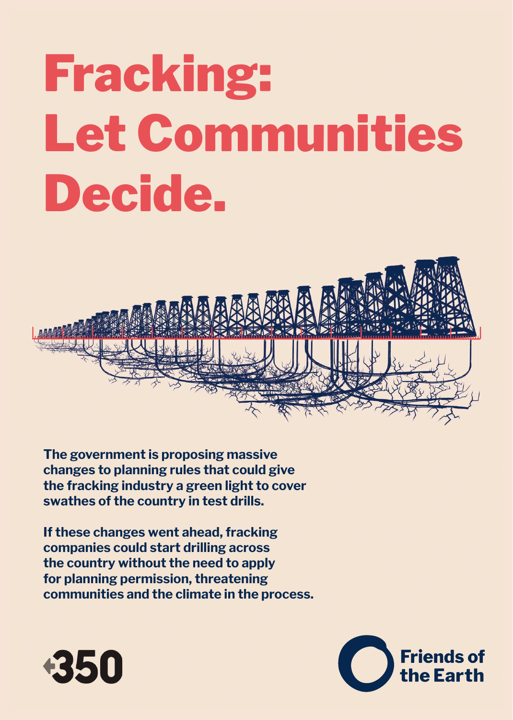## Fracking: Let Communities Decide.



**The government is proposing massive changes to planning rules that could give the fracking industry a green light to cover swathes of the country in test drills.**

**If these changes went ahead, fracking companies could start drilling across the country without the need to apply for planning permission, threatening communities and the climate in the process.**